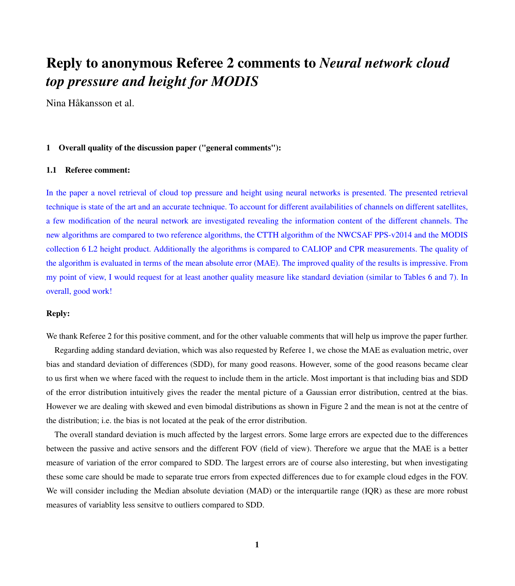# Reply to anonymous Referee 2 comments to *Neural network cloud top pressure and height for MODIS*

Nina Håkansson et al.

# 1 Overall quality of the discussion paper ("general comments"):

## 1.1 Referee comment:

In the paper a novel retrieval of cloud top pressure and height using neural networks is presented. The presented retrieval technique is state of the art and an accurate technique. To account for different availabilities of channels on different satellites, a few modification of the neural network are investigated revealing the information content of the different channels. The new algorithms are compared to two reference algorithms, the CTTH algorithm of the NWCSAF PPS-v2014 and the MODIS collection 6 L2 height product. Additionally the algorithms is compared to CALIOP and CPR measurements. The quality of the algorithm is evaluated in terms of the mean absolute error (MAE). The improved quality of the results is impressive. From my point of view, I would request for at least another quality measure like standard deviation (similar to Tables 6 and 7). In overall, good work!

# Reply:

We thank Referee 2 for this positive comment, and for the other valuable comments that will help us improve the paper further.

Regarding adding standard deviation, which was also requested by Referee 1, we chose the MAE as evaluation metric, over bias and standard deviation of differences (SDD), for many good reasons. However, some of the good reasons became clear to us first when we where faced with the request to include them in the article. Most important is that including bias and SDD of the error distribution intuitively gives the reader the mental picture of a Gaussian error distribution, centred at the bias. However we are dealing with skewed and even bimodal distributions as shown in Figure 2 and the mean is not at the centre of the distribution; i.e. the bias is not located at the peak of the error distribution.

The overall standard deviation is much affected by the largest errors. Some large errors are expected due to the differences between the passive and active sensors and the different FOV (field of view). Therefore we argue that the MAE is a better measure of variation of the error compared to SDD. The largest errors are of course also interesting, but when investigating these some care should be made to separate true errors from expected differences due to for example cloud edges in the FOV. We will consider including the Median absolute deviation (MAD) or the interquartile range (IQR) as these are more robust measures of variablity less sensitve to outliers compared to SDD.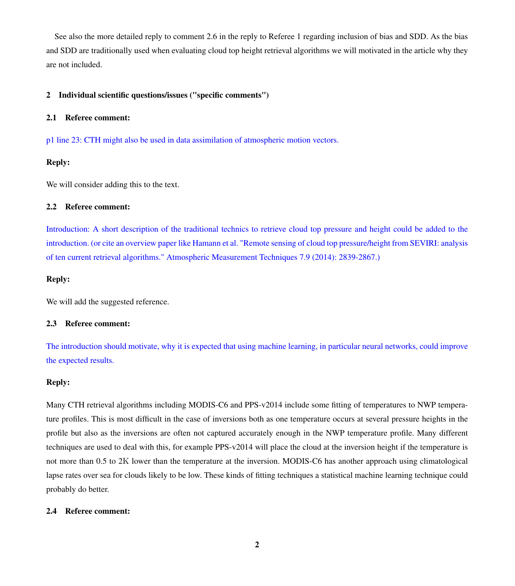See also the more detailed reply to comment 2.6 in the reply to Referee 1 regarding inclusion of bias and SDD. As the bias and SDD are traditionally used when evaluating cloud top height retrieval algorithms we will motivated in the article why they are not included.

# 2 Individual scientific questions/issues ("specific comments")

# 2.1 Referee comment:

p1 line 23: CTH might also be used in data assimilation of atmospheric motion vectors.

# Reply:

We will consider adding this to the text.

# 2.2 Referee comment:

Introduction: A short description of the traditional technics to retrieve cloud top pressure and height could be added to the introduction. (or cite an overview paper like Hamann et al. "Remote sensing of cloud top pressure/height from SEVIRI: analysis of ten current retrieval algorithms." Atmospheric Measurement Techniques 7.9 (2014): 2839-2867.)

# Reply:

We will add the suggested reference.

# 2.3 Referee comment:

The introduction should motivate, why it is expected that using machine learning, in particular neural networks, could improve the expected results.

# Reply:

Many CTH retrieval algorithms including MODIS-C6 and PPS-v2014 include some fitting of temperatures to NWP temperature profiles. This is most difficult in the case of inversions both as one temperature occurs at several pressure heights in the profile but also as the inversions are often not captured accurately enough in the NWP temperature profile. Many different techniques are used to deal with this, for example PPS-v2014 will place the cloud at the inversion height if the temperature is not more than 0.5 to 2K lower than the temperature at the inversion. MODIS-C6 has another approach using climatological lapse rates over sea for clouds likely to be low. These kinds of fitting techniques a statistical machine learning technique could probably do better.

# 2.4 Referee comment: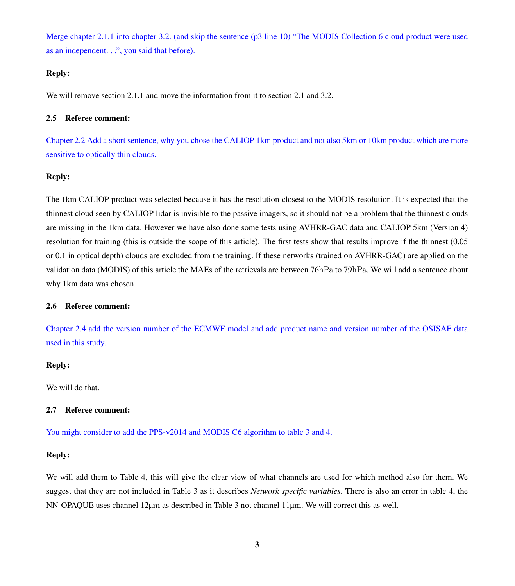Merge chapter 2.1.1 into chapter 3.2. (and skip the sentence (p3 line 10) "The MODIS Collection 6 cloud product were used as an independent. . .", you said that before).

# Reply:

We will remove section 2.1.1 and move the information from it to section 2.1 and 3.2.

#### 2.5 Referee comment:

Chapter 2.2 Add a short sentence, why you chose the CALIOP 1km product and not also 5km or 10km product which are more sensitive to optically thin clouds.

# Reply:

The 1km CALIOP product was selected because it has the resolution closest to the MODIS resolution. It is expected that the thinnest cloud seen by CALIOP lidar is invisible to the passive imagers, so it should not be a problem that the thinnest clouds are missing in the 1km data. However we have also done some tests using AVHRR-GAC data and CALIOP 5km (Version 4) resolution for training (this is outside the scope of this article). The first tests show that results improve if the thinnest (0.05 or 0.1 in optical depth) clouds are excluded from the training. If these networks (trained on AVHRR-GAC) are applied on the validation data (MODIS) of this article the MAEs of the retrievals are between 76hPa to 79hPa. We will add a sentence about why 1km data was chosen.

# 2.6 Referee comment:

Chapter 2.4 add the version number of the ECMWF model and add product name and version number of the OSISAF data used in this study.

# Reply:

We will do that.

# 2.7 Referee comment:

You might consider to add the PPS-v2014 and MODIS C6 algorithm to table 3 and 4.

# Reply:

We will add them to Table 4, this will give the clear view of what channels are used for which method also for them. We suggest that they are not included in Table 3 as it describes *Network specific variables*. There is also an error in table 4, the NN-OPAQUE uses channel 12µm as described in Table 3 not channel 11µm. We will correct this as well.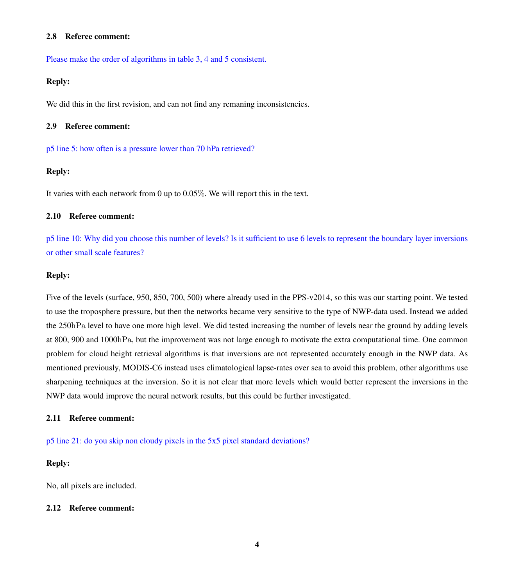#### 2.8 Referee comment:

Please make the order of algorithms in table 3, 4 and 5 consistent.

## Reply:

We did this in the first revision, and can not find any remaning inconsistencies.

#### 2.9 Referee comment:

p5 line 5: how often is a pressure lower than 70 hPa retrieved?

# Reply:

It varies with each network from 0 up to 0.05%. We will report this in the text.

#### 2.10 Referee comment:

p5 line 10: Why did you choose this number of levels? Is it sufficient to use 6 levels to represent the boundary layer inversions or other small scale features?

#### Reply:

Five of the levels (surface, 950, 850, 700, 500) where already used in the PPS-v2014, so this was our starting point. We tested to use the troposphere pressure, but then the networks became very sensitive to the type of NWP-data used. Instead we added the 250hPa level to have one more high level. We did tested increasing the number of levels near the ground by adding levels at 800, 900 and 1000hPa, but the improvement was not large enough to motivate the extra computational time. One common problem for cloud height retrieval algorithms is that inversions are not represented accurately enough in the NWP data. As mentioned previously, MODIS-C6 instead uses climatological lapse-rates over sea to avoid this problem, other algorithms use sharpening techniques at the inversion. So it is not clear that more levels which would better represent the inversions in the NWP data would improve the neural network results, but this could be further investigated.

#### 2.11 Referee comment:

p5 line 21: do you skip non cloudy pixels in the 5x5 pixel standard deviations?

# Reply:

No, all pixels are included.

#### 2.12 Referee comment: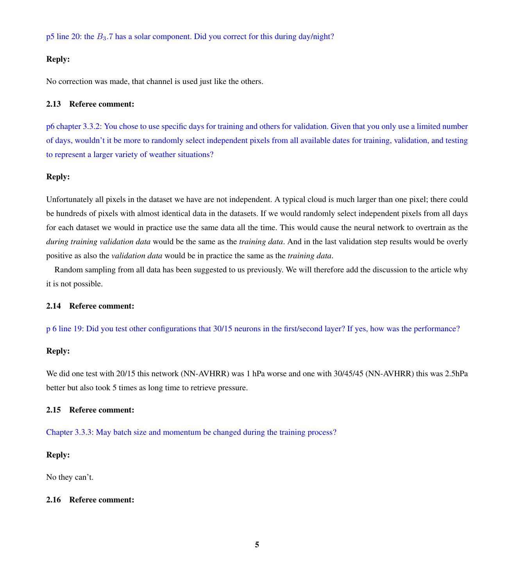p5 line 20: the  $B_3$ .7 has a solar component. Did you correct for this during day/night?

## Reply:

No correction was made, that channel is used just like the others.

#### 2.13 Referee comment:

p6 chapter 3.3.2: You chose to use specific days for training and others for validation. Given that you only use a limited number of days, wouldn't it be more to randomly select independent pixels from all available dates for training, validation, and testing to represent a larger variety of weather situations?

# Reply:

Unfortunately all pixels in the dataset we have are not independent. A typical cloud is much larger than one pixel; there could be hundreds of pixels with almost identical data in the datasets. If we would randomly select independent pixels from all days for each dataset we would in practice use the same data all the time. This would cause the neural network to overtrain as the *during training validation data* would be the same as the *training data*. And in the last validation step results would be overly positive as also the *validation data* would be in practice the same as the *training data*.

Random sampling from all data has been suggested to us previously. We will therefore add the discussion to the article why it is not possible.

#### 2.14 Referee comment:

p 6 line 19: Did you test other configurations that 30/15 neurons in the first/second layer? If yes, how was the performance?

## Reply:

We did one test with 20/15 this network (NN-AVHRR) was 1 hPa worse and one with 30/45/45 (NN-AVHRR) this was 2.5hPa better but also took 5 times as long time to retrieve pressure.

## 2.15 Referee comment:

Chapter 3.3.3: May batch size and momentum be changed during the training process?

# Reply:

No they can't.

## 2.16 Referee comment: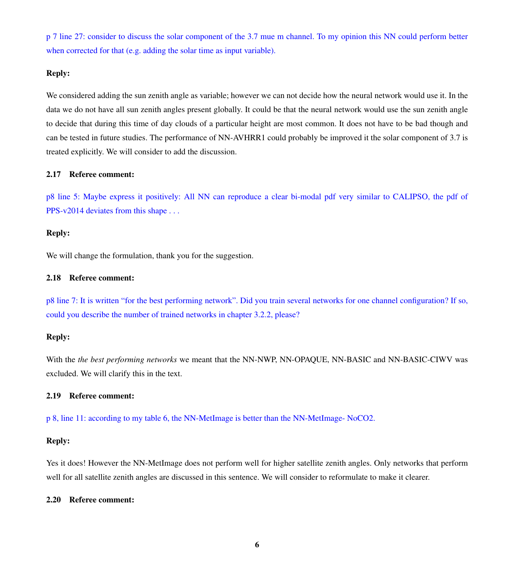p 7 line 27: consider to discuss the solar component of the 3.7 mue m channel. To my opinion this NN could perform better when corrected for that (e.g. adding the solar time as input variable).

#### Reply:

We considered adding the sun zenith angle as variable; however we can not decide how the neural network would use it. In the data we do not have all sun zenith angles present globally. It could be that the neural network would use the sun zenith angle to decide that during this time of day clouds of a particular height are most common. It does not have to be bad though and can be tested in future studies. The performance of NN-AVHRR1 could probably be improved it the solar component of 3.7 is treated explicitly. We will consider to add the discussion.

#### 2.17 Referee comment:

p8 line 5: Maybe express it positively: All NN can reproduce a clear bi-modal pdf very similar to CALIPSO, the pdf of PPS-v2014 deviates from this shape . . .

#### Reply:

We will change the formulation, thank you for the suggestion.

#### 2.18 Referee comment:

p8 line 7: It is written "for the best performing network". Did you train several networks for one channel configuration? If so, could you describe the number of trained networks in chapter 3.2.2, please?

## Reply:

With the *the best performing networks* we meant that the NN-NWP, NN-OPAQUE, NN-BASIC and NN-BASIC-CIWV was excluded. We will clarify this in the text.

## 2.19 Referee comment:

p 8, line 11: according to my table 6, the NN-MetImage is better than the NN-MetImage- NoCO2.

#### Reply:

Yes it does! However the NN-MetImage does not perform well for higher satellite zenith angles. Only networks that perform well for all satellite zenith angles are discussed in this sentence. We will consider to reformulate to make it clearer.

#### 2.20 Referee comment: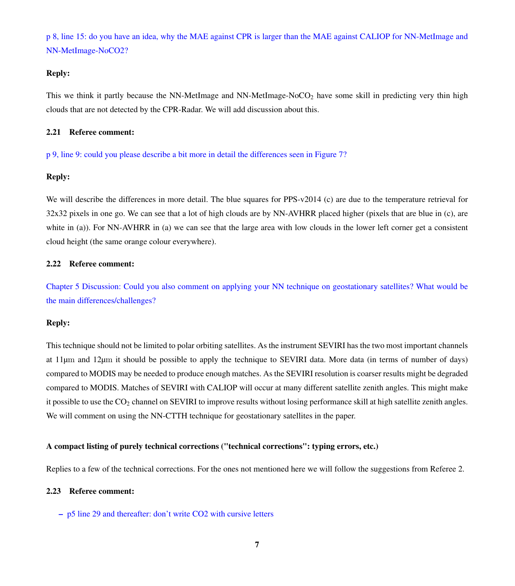p 8, line 15: do you have an idea, why the MAE against CPR is larger than the MAE against CALIOP for NN-MetImage and NN-MetImage-NoCO2?

#### Reply:

This we think it partly because the NN-MetImage and NN-MetImage-NoCO<sub>2</sub> have some skill in predicting very thin high clouds that are not detected by the CPR-Radar. We will add discussion about this.

#### 2.21 Referee comment:

p 9, line 9: could you please describe a bit more in detail the differences seen in Figure 7?

# Reply:

We will describe the differences in more detail. The blue squares for PPS-v2014 (c) are due to the temperature retrieval for 32x32 pixels in one go. We can see that a lot of high clouds are by NN-AVHRR placed higher (pixels that are blue in (c), are white in (a)). For NN-AVHRR in (a) we can see that the large area with low clouds in the lower left corner get a consistent cloud height (the same orange colour everywhere).

## 2.22 Referee comment:

Chapter 5 Discussion: Could you also comment on applying your NN technique on geostationary satellites? What would be the main differences/challenges?

# Reply:

This technique should not be limited to polar orbiting satellites. As the instrument SEVIRI has the two most important channels at 11µm and 12µm it should be possible to apply the technique to SEVIRI data. More data (in terms of number of days) compared to MODIS may be needed to produce enough matches. As the SEVIRI resolution is coarser results might be degraded compared to MODIS. Matches of SEVIRI with CALIOP will occur at many different satellite zenith angles. This might make it possible to use the CO<sub>2</sub> channel on SEVIRI to improve results without losing performance skill at high satellite zenith angles. We will comment on using the NN-CTTH technique for geostationary satellites in the paper.

#### A compact listing of purely technical corrections ("technical corrections": typing errors, etc.)

Replies to a few of the technical corrections. For the ones not mentioned here we will follow the suggestions from Referee 2.

#### 2.23 Referee comment:

– p5 line 29 and thereafter: don't write CO2 with cursive letters